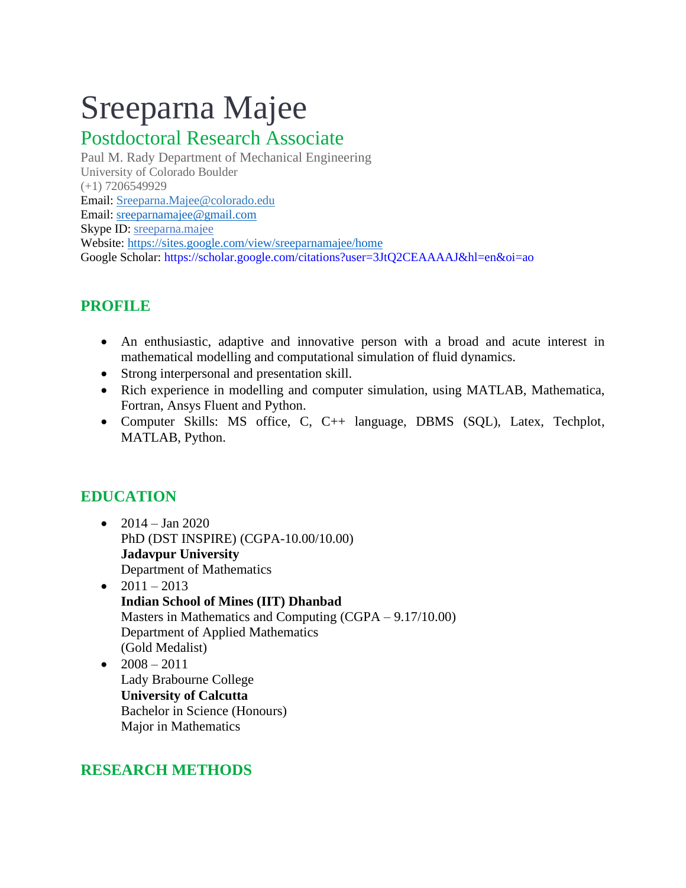# Sreeparna Majee

## Postdoctoral Research Associate

Paul M. Rady Department of Mechanical Engineering University of Colorado Boulder (+1) 7206549929 Email: Sreeparna.Majee@colorado.edu Email: [sreeparnamajee@gmail.com](mailto:sreeparnamajee@gmail.com) Skype ID: sreeparna.majee Website: https://sites.google.com/view/sreeparnamajee/home Google Scholar: https://scholar.google.com/citations?user=3JtQ2CEAAAAJ&hl=en&oi=ao

## **PROFILE**

- An enthusiastic, adaptive and innovative person with a broad and acute interest in mathematical modelling and computational simulation of fluid dynamics.
- Strong interpersonal and presentation skill.
- Rich experience in modelling and computer simulation, using MATLAB, Mathematica, Fortran, Ansys Fluent and Python.
- Computer Skills: MS office, C, C++ language, DBMS (SQL), Latex, Techplot, MATLAB, Python.

## **EDUCATION**

- $2014 Jan 2020$ PhD (DST INSPIRE) (CGPA-10.00/10.00) **Jadavpur University** Department of Mathematics
- $2011 2013$ **Indian School of Mines (IIT) Dhanbad** Masters in Mathematics and Computing (CGPA – 9.17/10.00) Department of Applied Mathematics (Gold Medalist)
- $2008 2011$  Lady Brabourne College **University of Calcutta** Bachelor in Science (Honours) Major in Mathematics

## **RESEARCH METHODS**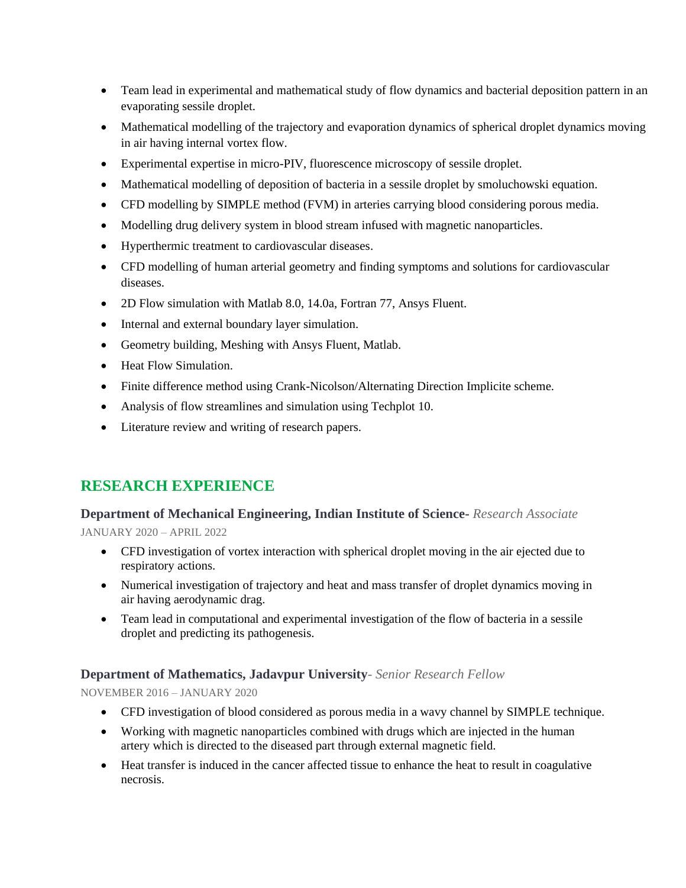- Team lead in experimental and mathematical study of flow dynamics and bacterial deposition pattern in an evaporating sessile droplet.
- Mathematical modelling of the trajectory and evaporation dynamics of spherical droplet dynamics moving in air having internal vortex flow.
- Experimental expertise in micro-PIV, fluorescence microscopy of sessile droplet.
- Mathematical modelling of deposition of bacteria in a sessile droplet by smoluchowski equation.
- CFD modelling by SIMPLE method (FVM) in arteries carrying blood considering porous media.
- Modelling drug delivery system in blood stream infused with magnetic nanoparticles.
- Hyperthermic treatment to cardiovascular diseases.
- CFD modelling of human arterial geometry and finding symptoms and solutions for cardiovascular diseases.
- 2D Flow simulation with Matlab 8.0, 14.0a, Fortran 77, Ansys Fluent.
- Internal and external boundary layer simulation.
- Geometry building, Meshing with Ansys Fluent, Matlab.
- Heat Flow Simulation.
- Finite difference method using Crank-Nicolson/Alternating Direction Implicite scheme.
- Analysis of flow streamlines and simulation using Techplot 10.
- Literature review and writing of research papers.

## **RESEARCH EXPERIENCE**

#### **Department of Mechanical Engineering, Indian Institute of Science-** *Research Associate*

JANUARY 2020 – APRIL 2022

- CFD investigation of vortex interaction with spherical droplet moving in the air ejected due to respiratory actions.
- Numerical investigation of trajectory and heat and mass transfer of droplet dynamics moving in air having aerodynamic drag.
- Team lead in computational and experimental investigation of the flow of bacteria in a sessile droplet and predicting its pathogenesis.

#### **Department of Mathematics, Jadavpur University***- Senior Research Fellow*

NOVEMBER 2016 – JANUARY 2020

- CFD investigation of blood considered as porous media in a wavy channel by SIMPLE technique.
- Working with magnetic nanoparticles combined with drugs which are injected in the human artery which is directed to the diseased part through external magnetic field.
- Heat transfer is induced in the cancer affected tissue to enhance the heat to result in coagulative necrosis.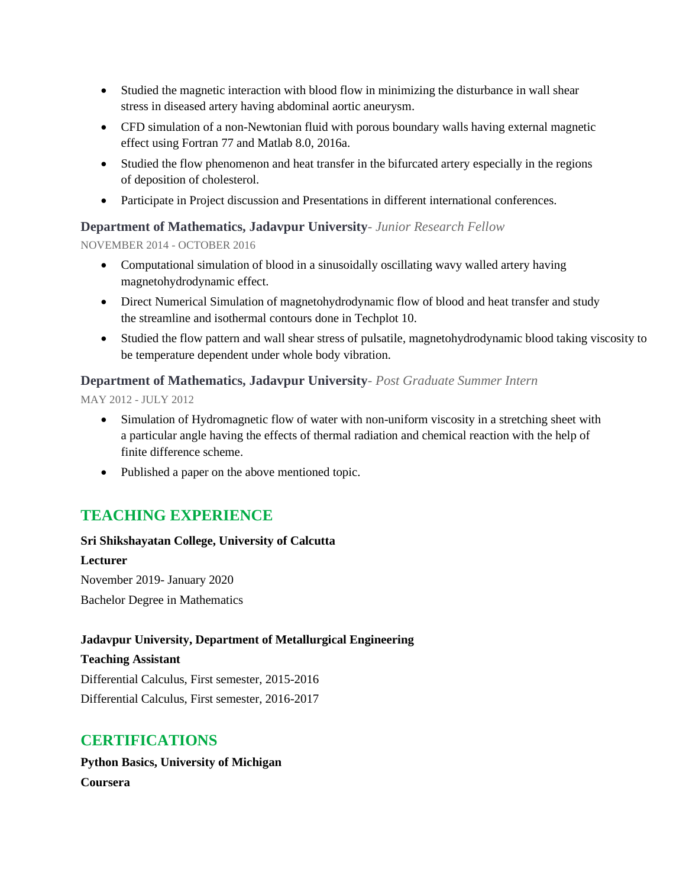- Studied the magnetic interaction with blood flow in minimizing the disturbance in wall shear stress in diseased artery having abdominal aortic aneurysm.
- CFD simulation of a non-Newtonian fluid with porous boundary walls having external magnetic effect using Fortran 77 and Matlab 8.0, 2016a.
- Studied the flow phenomenon and heat transfer in the bifurcated artery especially in the regions of deposition of cholesterol.
- Participate in Project discussion and Presentations in different international conferences.

#### **Department of Mathematics, Jadavpur University***- Junior Research Fellow*

NOVEMBER 2014 - OCTOBER 2016

- Computational simulation of blood in a sinusoidally oscillating wavy walled artery having magnetohydrodynamic effect.
- Direct Numerical Simulation of magnetohydrodynamic flow of blood and heat transfer and study the streamline and isothermal contours done in Techplot 10.
- Studied the flow pattern and wall shear stress of pulsatile, magnetohydrodynamic blood taking viscosity to be temperature dependent under whole body vibration.

#### **Department of Mathematics, Jadavpur University***- Post Graduate Summer Intern*

MAY 2012 - JULY 2012

- Simulation of Hydromagnetic flow of water with non-uniform viscosity in a stretching sheet with a particular angle having the effects of thermal radiation and chemical reaction with the help of finite difference scheme.
- Published a paper on the above mentioned topic.

## **TEACHING EXPERIENCE**

#### **Sri Shikshayatan College, University of Calcutta**

#### **Lecturer**

November 2019- January 2020 Bachelor Degree in Mathematics

#### **Jadavpur University, Department of Metallurgical Engineering**

#### **Teaching Assistant**

Differential Calculus, First semester, 2015-2016 Differential Calculus, First semester, 2016-2017

### **CERTIFICATIONS**

**Python Basics, University of Michigan Coursera**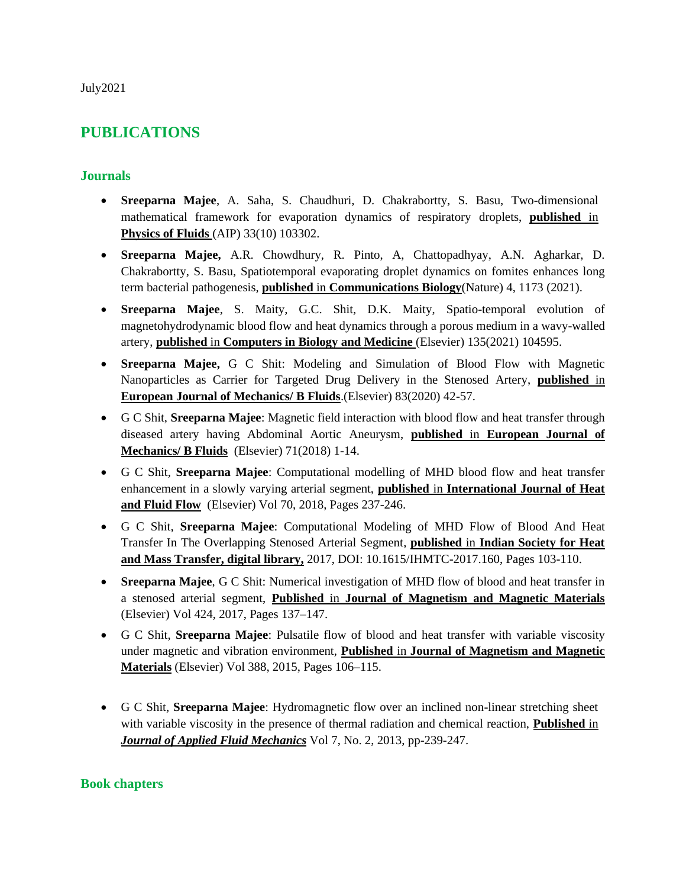July2021

## **PUBLICATIONS**

#### **Journals**

- **Sreeparna Majee**, A. Saha, S. Chaudhuri, D. Chakrabortty, S. Basu, Two-dimensional mathematical framework for evaporation dynamics of respiratory droplets, **published** in **Physics of Fluids** (AIP) 33(10) 103302.
- **Sreeparna Majee,** A.R. Chowdhury, R. Pinto, A, Chattopadhyay, A.N. Agharkar, D. Chakrabortty, S. Basu, [Spatiotemporal evaporating droplet dynamics on fomites enhances long](https://scholar.google.com/citations?view_op=view_citation&hl=en&user=3JtQ2CEAAAAJ&sortby=pubdate&citation_for_view=3JtQ2CEAAAAJ:Tyk-4Ss8FVUC)  [term bacterial pathogenesis,](https://scholar.google.com/citations?view_op=view_citation&hl=en&user=3JtQ2CEAAAAJ&sortby=pubdate&citation_for_view=3JtQ2CEAAAAJ:Tyk-4Ss8FVUC) **published** in **Communications Biology**(Nature) 4, 1173 (2021).
- **Sreeparna Majee**, S. Maity, G.C. Shit, D.K. Maity, [Spatio-temporal evolution of](https://scholar.google.com/citations?view_op=view_citation&hl=en&user=3JtQ2CEAAAAJ&sortby=pubdate&citation_for_view=3JtQ2CEAAAAJ:Y0pCki6q_DkC)  [magnetohydrodynamic blood flow and heat dynamics through a porous medium in a wavy-walled](https://scholar.google.com/citations?view_op=view_citation&hl=en&user=3JtQ2CEAAAAJ&sortby=pubdate&citation_for_view=3JtQ2CEAAAAJ:Y0pCki6q_DkC)  [artery,](https://scholar.google.com/citations?view_op=view_citation&hl=en&user=3JtQ2CEAAAAJ&sortby=pubdate&citation_for_view=3JtQ2CEAAAAJ:Y0pCki6q_DkC) **published** in **Computers in Biology and Medicine** (Elsevier) 135(2021) 104595.
- **Sreeparna Majee,** G C Shit: Modeling and Simulation of Blood Flow with Magnetic Nanoparticles as Carrier for Targeted Drug Delivery in the Stenosed Artery, **published** in **European Journal of Mechanics/ B Fluids**.(Elsevier) 83(2020) 42-57.
- G C Shit, **Sreeparna Majee**: Magnetic field interaction with blood flow and heat transfer through diseased artery having Abdominal Aortic Aneurysm, **published** in **European Journal of Mechanics/ B Fluids** (Elsevier) 71(2018) 1-14.
- G C Shit, **Sreeparna Majee**: Computational modelling of MHD blood flow and heat transfer enhancement in a slowly varying arterial segment, **published** in **International Journal of Heat and Fluid Flow** (Elsevier) Vol 70, 2018, Pages 237-246.
- G C Shit, **Sreeparna Majee**: Computational Modeling of MHD Flow of Blood And Heat Transfer In The Overlapping Stenosed Arterial Segment, **published** in **Indian Society for Heat and Mass Transfer, digital library,** 2017, DOI: 10.1615/IHMTC-2017.160, Pages 103-110.
- **Sreeparna Majee**, G C Shit: Numerical investigation of MHD flow of blood and heat transfer in a stenosed arterial segment, **Published** in **[Journal of Magnetism and Magnetic Materials](http://www.sciencedirect.com/science/journal/03048853)** (Elsevier) Vol [424,](http://www.sciencedirect.com/science/journal/03048853/424/supp/C) 2017, Pages 137–147.
- G C Shit, **Sreeparna Majee**: Pulsatile flow of blood and heat transfer with variable viscosity under magnetic and vibration environment, **Published** in **[Journal of Magnetism and Magnetic](http://www.sciencedirect.com/science/journal/03048853)  [Materials](http://www.sciencedirect.com/science/journal/03048853)** (Elsevier) Vol 388, 2015, Pages 106–115.
- G C Shit, **Sreeparna Majee**: Hydromagnetic flow over an inclined non-linear stretching sheet with variable viscosity in the presence of thermal radiation and chemical reaction, **Published** in *Journal of Applied Fluid Mechanics* Vol 7, No. 2, 2013, pp-239-247.

#### **Book chapters**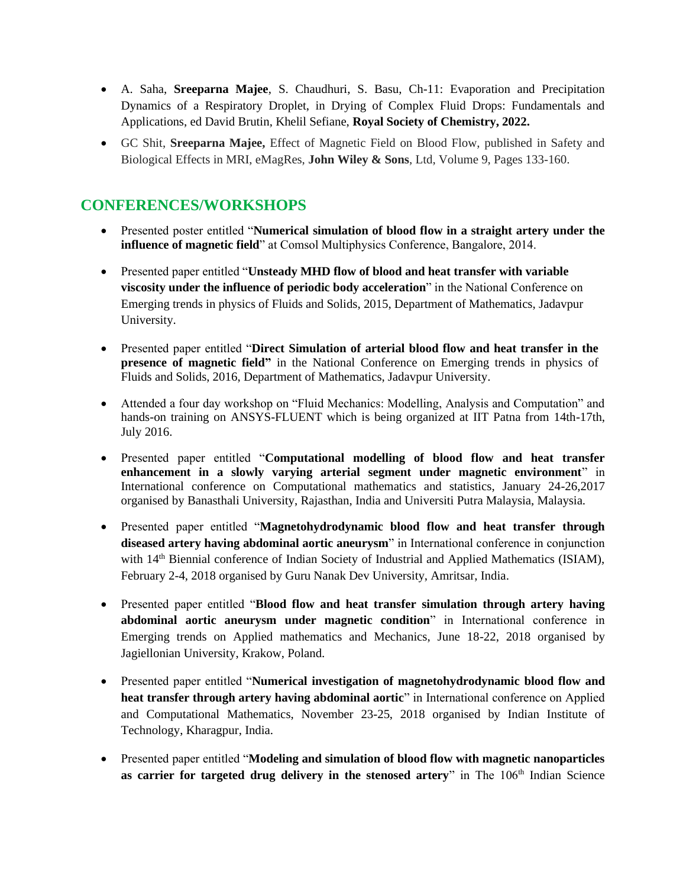- A. Saha, **Sreeparna Majee**, S. Chaudhuri, S. Basu, Ch-11: Evaporation and Precipitation Dynamics of a Respiratory Droplet, in Drying of Complex Fluid Drops: Fundamentals and Applications, ed David Brutin, Khelil Sefiane, **Royal Society of Chemistry, 2022.**
- GC Shit, **Sreeparna Majee,** Effect of Magnetic Field on Blood Flow, published in Safety and Biological Effects in MRI, eMagRes, **John Wiley & Sons**, Ltd, Volume 9, Pages 133-160.

## **CONFERENCES/WORKSHOPS**

- Presented poster entitled "**Numerical simulation of blood flow in a straight artery under the influence of magnetic field**" at Comsol Multiphysics Conference, Bangalore, 2014.
- Presented paper entitled "**Unsteady MHD flow of blood and heat transfer with variable viscosity under the influence of periodic body acceleration**" in the National Conference on Emerging trends in physics of Fluids and Solids, 2015, Department of Mathematics, Jadavpur University.
- Presented paper entitled "**Direct Simulation of arterial blood flow and heat transfer in the presence of magnetic field"** in the National Conference on Emerging trends in physics of Fluids and Solids, 2016, Department of Mathematics, Jadavpur University.
- Attended a four day workshop on "Fluid Mechanics: Modelling, Analysis and Computation" and hands-on training on ANSYS-FLUENT which is being organized at IIT Patna from 14th-17th, July 2016.
- Presented paper entitled "**Computational modelling of blood flow and heat transfer enhancement in a slowly varying arterial segment under magnetic environment**" in International conference on Computational mathematics and statistics, January 24-26,2017 organised by Banasthali University, Rajasthan, India and Universiti Putra Malaysia, Malaysia.
- Presented paper entitled "**Magnetohydrodynamic blood flow and heat transfer through diseased artery having abdominal aortic aneurysm**" in International conference in conjunction with 14<sup>th</sup> Biennial conference of Indian Society of Industrial and Applied Mathematics (ISIAM), February 2-4, 2018 organised by Guru Nanak Dev University, Amritsar, India.
- Presented paper entitled "**Blood flow and heat transfer simulation through artery having abdominal aortic aneurysm under magnetic condition**" in International conference in Emerging trends on Applied mathematics and Mechanics, June 18-22, 2018 organised by Jagiellonian University, Krakow, Poland.
- Presented paper entitled "**Numerical investigation of magnetohydrodynamic blood flow and heat transfer through artery having abdominal aortic**" in International conference on Applied and Computational Mathematics, November 23-25, 2018 organised by Indian Institute of Technology, Kharagpur, India.
- Presented paper entitled "**Modeling and simulation of blood flow with magnetic nanoparticles**  as carrier for targeted drug delivery in the stenosed artery" in The 106<sup>th</sup> Indian Science